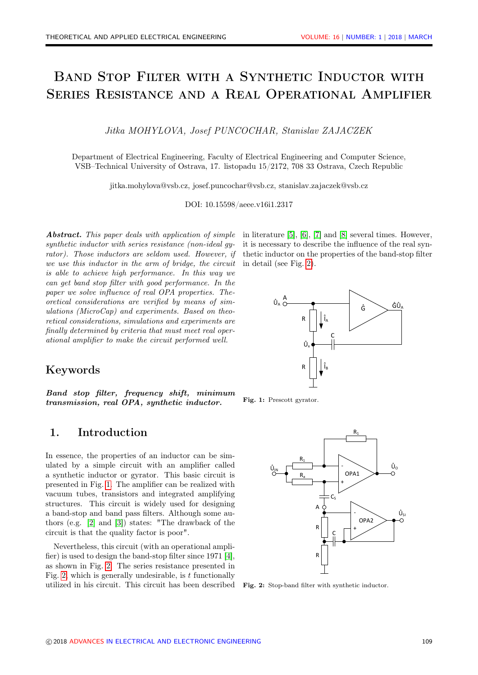# Band Stop Filter with a Synthetic Inductor with Series Resistance and a Real Operational Amplifier

Jitka MOHYLOVA, Josef PUNCOCHAR, Stanislav ZAJACZEK

Department of Electrical Engineering, Faculty of Electrical Engineering and Computer Science, VSB–Technical University of Ostrava, 17. listopadu 15/2172, 708 33 Ostrava, Czech Republic

jitka.mohylova@vsb.cz, josef.puncochar@vsb.cz, stanislav.zajaczek@vsb.cz

DOI: 10.15598/aeee.v16i1.2317

Abstract. This paper deals with application of simple synthetic inductor with series resistance (non-ideal gyrator). Those inductors are seldom used. However, if we use this inductor in the arm of bridge, the circuit is able to achieve high performance. In this way we can get band stop filter with good performance. In the paper we solve influence of real OPA properties. Theoretical considerations are verified by means of simulations (MicroCap) and experiments. Based on theoretical considerations, simulations and experiments are finally determined by criteria that must meet real operational amplifier to make the circuit performed well.

### Keywords

Band stop filter, frequency shift, minimum transmission, real OPA, synthetic inductor.

## 1. Introduction

In essence, the properties of an inductor can be simulated by a simple circuit with an amplifier called a synthetic inductor or gyrator. This basic circuit is presented in Fig. [1.](#page-0-0) The amplifier can be realized with vacuum tubes, transistors and integrated amplifying structures. This circuit is widely used for designing a band-stop and band pass filters. Although some authors (e.g. [\[2\]](#page-7-0) and [\[3\]](#page-7-1)) states: "The drawback of the circuit is that the quality factor is poor".

Nevertheless, this circuit (with an operational amplifier) is used to design the band-stop filter since 1971 [\[4\]](#page-7-2), as shown in Fig. [2.](#page-0-1) The series resistance presented in Fig. [2,](#page-0-1) which is generally undesirable, is  $t$  functionally utilized in his circuit. This circuit has been described Fig. 2: Stop-band filter with synthetic inductor.

in literature [\[5\]](#page-7-3), [\[6\]](#page-7-4), [\[7\]](#page-7-5) and [\[8\]](#page-7-6) several times. However, it is necessary to describe the influence of the real synthetic inductor on the properties of the band-stop filter in detail (see Fig. [2\)](#page-0-1).

<span id="page-0-0"></span>

Fig. 1: Prescott gyrator.

<span id="page-0-1"></span>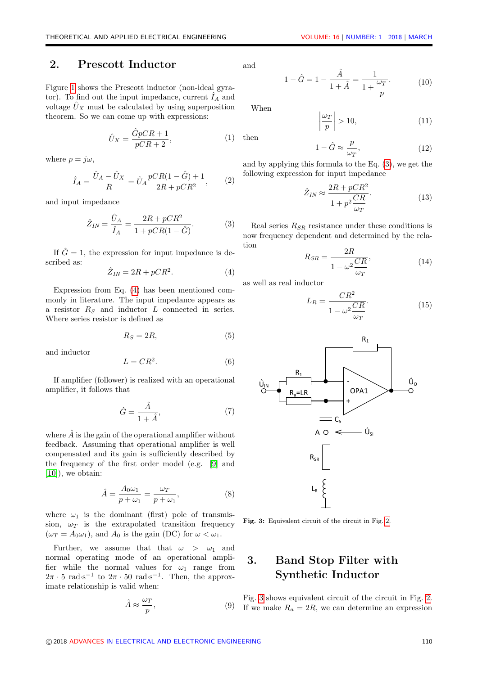### 2. Prescott Inductor

Figure [1](#page-0-0) shows the Prescott inductor (non-ideal gyrator). To find out the input impedance, current  $I_A$  and voltage  $U_X$  must be calculated by using superposition theorem. So we can come up with expressions:

$$
\hat{U}_X = \frac{\hat{G}pCR + 1}{pCR + 2},\tag{1}
$$

where  $p = j\omega$ ,

$$
\hat{I}_A = \frac{\hat{U}_A - \hat{U}_X}{R} = \hat{U}_A \frac{pCR(1 - \hat{G}) + 1}{2R + pCR^2},
$$
 (2)

and input impedance

<span id="page-1-1"></span>
$$
\hat{Z}_{IN} = \frac{\hat{U}_A}{\hat{I}_A} = \frac{2R + pCR^2}{1 + pCR(1 - \hat{G})}.
$$
 (3)

If  $\hat{G} = 1$ , the expression for input impedance is described as:

<span id="page-1-0"></span>
$$
\hat{Z}_{IN} = 2R + pCR^2. \tag{4}
$$

Expression from Eq. [\(4\)](#page-1-0) has been mentioned commonly in literature. The input impedance appears as a resistor  $R_S$  and inductor  $L$  connected in series. Where series resistor is defined as

$$
R_S = 2R,\t\t(5)
$$

and inductor

$$
L = CR^2. \tag{6}
$$

If amplifier (follower) is realized with an operational amplifier, it follows that

$$
\hat{G} = \frac{\hat{A}}{1 + \hat{A}},\tag{7}
$$

where  $\hat{A}$  is the gain of the operational amplifier without feedback. Assuming that operational amplifier is well compensated and its gain is sufficiently described by the frequency of the first order model (e.g. [\[9\]](#page-7-7) and [\[10\]](#page-7-8)), we obtain:

$$
\hat{A} = \frac{A_0 \omega_1}{p + \omega_1} = \frac{\omega_T}{p + \omega_1},\tag{8}
$$

where  $\omega_1$  is the dominant (first) pole of transmission,  $\omega_T$  is the extrapolated transition frequency  $(\omega_T = A_0 \omega_1)$ , and  $A_0$  is the gain (DC) for  $\omega < \omega_1$ .

Further, we assume that that  $\omega > \omega_1$  and normal operating mode of an operational amplifier while the normal values for  $\omega_1$  range from  $2\pi \cdot 5 \text{ rad} \cdot \text{s}^{-1}$  to  $2\pi \cdot 50 \text{ rad} \cdot \text{s}^{-1}$ . Then, the approximate relationship is valid when:

$$
\hat{A} \approx \frac{\omega_T}{p},\tag{9}
$$

and

$$
1 - \hat{G} = 1 - \frac{\hat{A}}{1 + \hat{A}} = \frac{1}{1 + \frac{\omega_T}{p}}.
$$
 (10)

When

then

$$
\left|\frac{\omega_T}{p}\right| > 10,\tag{11}
$$

$$
1 - \hat{G} \approx \frac{p}{\omega_T},\tag{12}
$$

and by applying this formula to the Eq. [\(3\)](#page-1-1), we get the following expression for input impedance

$$
\hat{Z}_{IN} \approx \frac{2R + pCR^2}{1 + p^2 \frac{CR}{\omega_T}}.\tag{13}
$$

Real series  $R_{SR}$  resistance under these conditions is now frequency dependent and determined by the relation  $\sim$   $\overline{R}$ 

$$
R_{SR} = \frac{2R}{1 - \omega^2 \frac{CR}{\omega_T}},\tag{14}
$$

as well as real inductor

$$
L_R = \frac{CR^2}{1 - \omega^2 \frac{CR}{\omega_T}}.\tag{15}
$$

<span id="page-1-2"></span>

Fig. 3: Equivalent circuit of the circuit in Fig. [2.](#page-0-1)

# 3. Band Stop Filter with Synthetic Inductor

Fig. [3](#page-1-2) shows equivalent circuit of the circuit in Fig. [2.](#page-0-1) If we make  $R_a = 2R$ , we can determine an expression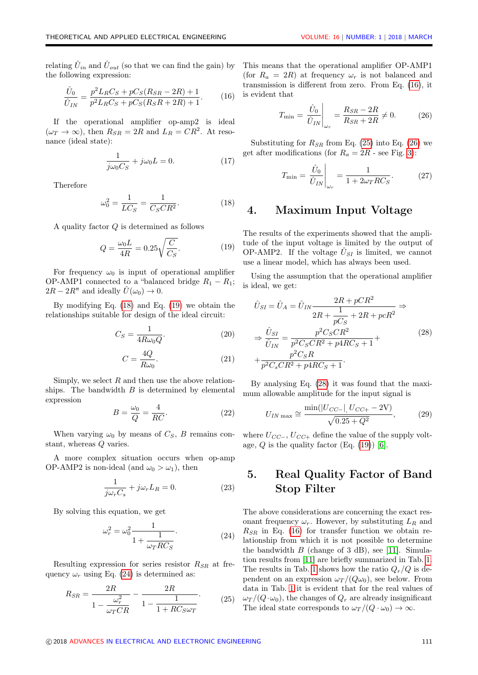relating  $\hat{U}_{in}$  and  $\hat{U}_{out}$  (so that we can find the gain) by the following expression:

<span id="page-2-3"></span>
$$
\frac{\hat{U}_0}{\hat{U}_{IN}} = \frac{p^2 L_R C_S + p C_S (R_{SR} - 2R) + 1}{p^2 L_R C_S + p C_S (R_S R + 2R) + 1}.
$$
 (16)

If the operational amplifier op-amp2 is ideal  $(\omega_T \to \infty)$ , then  $R_{SR} = 2R$  and  $L_R = CR^2$ . At resonance (ideal state):

$$
\frac{1}{j\omega_0 C_S} + j\omega_0 L = 0.
$$
 (17)

Therefore

<span id="page-2-0"></span>
$$
\omega_0^2 = \frac{1}{LC_S} = \frac{1}{C_S C R^2}.
$$
 (18)

A quality factor Q is determined as follows

<span id="page-2-1"></span>
$$
Q = \frac{\omega_0 L}{4R} = 0.25 \sqrt{\frac{C}{C_S}}.
$$
\n(19)

For frequency  $\omega_0$  is input of operational amplifier OP-AMP1 connected to a "balanced bridge  $R_1 - R_1$ ;  $2R - 2R''$  and ideally  $\hat{U}(\omega_0) \rightarrow 0$ .

By modifying Eq. [\(18\)](#page-2-0) and Eq. [\(19\)](#page-2-1) we obtain the relationships suitable for design of the ideal circuit:

$$
C_S = \frac{1}{4R\omega_0 Q}.\tag{20}
$$

$$
C = \frac{4Q}{R\omega_0}.\tag{21}
$$

Simply, we select  $R$  and then use the above relationships. The bandwidth  $B$  is determined by elemental expression

$$
B = \frac{\omega_0}{Q} = \frac{4}{RC}.
$$
\n(22)

When varying  $\omega_0$  by means of  $C_S$ , B remains constant, whereas Q varies.

A more complex situation occurs when op-amp OP-AMP2 is non-ideal (and  $\omega_0 > \omega_1$ ), then

$$
\frac{1}{j\omega_r C_s} + j\omega_r L_R = 0.
$$
 (23)

By solving this equation, we get

<span id="page-2-2"></span>
$$
\omega_r^2 = \omega_0^2 \frac{1}{1 + \frac{1}{\omega_T RC_S}}.\tag{24}
$$

Resulting expression for series resistor  $R_{SR}$  at frequency  $\omega_r$  using Eq. [\(24\)](#page-2-2) is determined as:

<span id="page-2-4"></span>
$$
R_{SR} = \frac{2R}{1 - \frac{\omega_r^2}{\omega_T CR}} - \frac{2R}{1 - \frac{1}{1 + RC_S\omega_T}}.\tag{25}
$$

This means that the operational amplifier OP-AMP1 (for  $R_a = 2R$ ) at frequency  $\omega_r$  is not balanced and transmission is different from zero. From Eq. [\(16\)](#page-2-3), it is evident that

<span id="page-2-5"></span>
$$
T_{\min} = \frac{\hat{U}_0}{\hat{U}_{IN}}\bigg|_{\omega_r} = \frac{R_{SR} - 2R}{R_{SR} + 2R} \neq 0. \tag{26}
$$

Substituting for  $R_{SR}$  from Eq. [\(25\)](#page-2-4) into Eq. [\(26\)](#page-2-5) we get after modifications (for  $R_a = 2R$  - see Fig. [3\)](#page-1-2):

$$
T_{\min} = \frac{\hat{U}_0}{\hat{U}_{IN}} \bigg|_{\omega_r} = \frac{1}{1 + 2\omega_T RC_S}.
$$
 (27)

#### 4. Maximum Input Voltage

The results of the experiments showed that the amplitude of the input voltage is limited by the output of OP-AMP2. If the voltage  $\hat{U}_{SI}$  is limited, we cannot use a linear model, which has always been used.

Using the assumption that the operational amplifier is ideal, we get:

<span id="page-2-6"></span>
$$
\hat{U}_{SI} = \hat{U}_A = \hat{U}_{IN} \frac{2R + pCR^2}{2R + \frac{1}{pC_S} + 2R + pcR^2} \Rightarrow
$$
\n
$$
\Rightarrow \frac{\hat{U}_{SI}}{\hat{U}_{IN}} = \frac{p^2C_SCR^2}{p^2C_SCR^2 + p4RC_S + 1} + \frac{p^2C_SRR}{p^2C_SCR^2 + p4RC_S + 1}.
$$
\n(28)

By analysing Eq. [\(28\)](#page-2-6) it was found that the maximum allowable amplitude for the input signal is

<span id="page-2-7"></span>
$$
U_{IN\,\max} \cong \frac{\min(|U_{CC-}|, U_{CC+} - 2V)}{\sqrt{0.25 + Q^2}},\tag{29}
$$

where  $U_{CC-}$ ,  $U_{CC+}$  define the value of the supply voltage,  $Q$  is the quality factor (Eq. [\(19\)](#page-2-1)) [\[6\]](#page-7-4).

# 5. Real Quality Factor of Band Stop Filter

The above considerations are concerning the exact resonant frequency  $\omega_r$ . However, by substituting  $L_R$  and  $R_{SR}$  in Eq. [\(16\)](#page-2-3) for transfer function we obtain relationship from which it is not possible to determine the bandwidth  $B$  (change of 3 dB), see [\[11\]](#page-7-9). Simulation results from [\[11\]](#page-7-9) are briefly summarized in Tab. [1.](#page-3-0) The results in Tab. [1](#page-3-0) shows how the ratio  $Q_r/Q$  is dependent on an expression  $\omega_T/(Q\omega_0)$ , see below. From data in Tab. [1](#page-3-0) it is evident that for the real values of  $\omega_T/(Q \cdot \omega_0)$ , the changes of  $Q_r$  are already insignificant The ideal state corresponds to  $\omega_T/(Q \cdot \omega_0) \to \infty$ .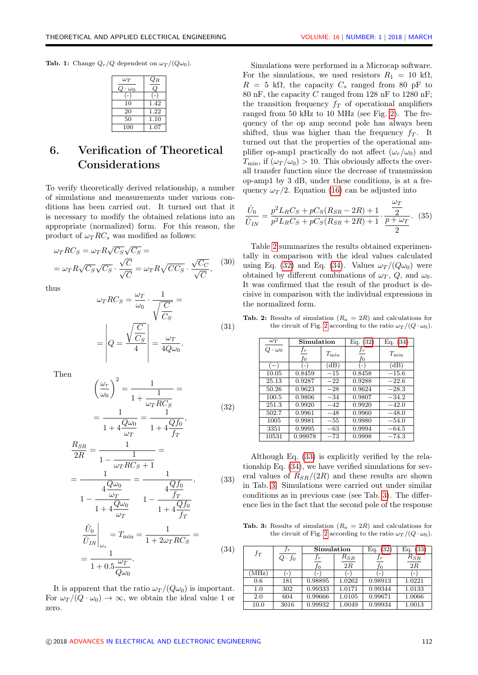$\overline{a}$ 

<span id="page-3-0"></span>**Tab. 1:** Change  $Q_r/Q$  dependent on  $\omega_T/(Q\omega_0)$ .

| $\omega_T$ | $Q_{R}$ |
|------------|---------|
| $\omega_0$ |         |
|            |         |
| 10         | 1.42    |
| 20         | 1.22    |
| 50         | 1.10    |
| 100        | 1.07    |

# 6. Verification of Theoretical Considerations

To verify theoretically derived relationship, a number of simulations and measurements under various conditions has been carried out. It turned out that it is necessary to modify the obtained relations into an appropriate (normalized) form. For this reason, the product of  $\omega_T RC_s$  was modified as follows:

$$
\omega_T RC_S = \omega_T R \sqrt{C_S} \sqrt{C_S} =
$$
  
= 
$$
\omega_T R \sqrt{C_S} \sqrt{C_S} \cdot \frac{\sqrt{C}}{\sqrt{C}} = \omega_T R \sqrt{C C_S} \cdot \frac{\sqrt{C_C}}{\sqrt{C}},
$$
 (30)

thus

$$
\omega_T RC_S = \frac{\omega_T}{\omega_0} \cdot \frac{1}{\sqrt{\frac{C}{C_S}}} =
$$
\n
$$
= \left| Q = \frac{\sqrt{\frac{C}{C_S}}}{4} \right| = \frac{\omega_T}{4Q\omega_0}.
$$
\n(31)

Then

<span id="page-3-2"></span>
$$
\left(\frac{\omega_r}{\omega_0}\right)^2 = \frac{1}{1 + \frac{1}{\omega_T RC_S}} =
$$
\n
$$
= \frac{1}{1 + 4\frac{Q\omega_0}{\omega_T}} = \frac{1}{1 + 4\frac{Qf_0}{f_T}},
$$
\n(32)

<span id="page-3-4"></span>
$$
\frac{R_{SR}}{2R} = \frac{1}{1 - \frac{1}{\omega_T RC_S + 1}} =
$$
\n
$$
= \frac{1}{4\frac{Q\omega_0}{\omega_T}} = \frac{1}{4\frac{Qf_0}{f_T}}, \qquad (33)
$$
\n
$$
1 - \frac{Q\omega_0}{1 + 4\frac{Q\omega_0}{\omega_T}} = \frac{1 - \frac{4Qf_0}{f_T}}{1 + 4\frac{Qf_0}{f_T}}
$$

<span id="page-3-3"></span>
$$
\frac{\hat{U}_0}{\hat{U}_{IN}}\Big|_{\omega_r} = T_{\min} = \frac{1}{1 + 2\omega_T RC_S} =
$$
\n
$$
= \frac{1}{1 + 0.5\frac{\omega_T}{Q\omega_0}}.
$$
\n(34)

It is apparent that the ratio  $\omega_T/(Q\omega_0)$  is important. For  $\omega_T/(Q \cdot \omega_0) \rightarrow \infty$ , we obtain the ideal value 1 or zero.

Simulations were performed in a Microcap software. For the simulations, we used resistors  $R_1 = 10 \text{ k}\Omega$ ,  $R = 5$  kΩ, the capacity  $C_s$  ranged from 80 pF to 80 nF, the capacity C ranged from 128 nF to 1280 nF; the transition frequency  $f_T$  of operational amplifiers ranged from 50 kHz to 10 MHz (see Fig. [2\)](#page-0-1). The frequency of the op amp second pole has always been shifted, thus was higher than the frequency  $f_T$ . It turned out that the properties of the operational amplifier op-amp1 practically do not affect  $(\omega_r/\omega_0)$  and  $T_{\min}$ , if  $(\omega_T/\omega_0) > 10$ . This obviously affects the overall transfer function since the decrease of transmission op-amp1 by 3 dB, under these conditions, is at a frequency  $\omega_T/2$ . Equation [\(16\)](#page-2-3) can be adjusted into

$$
\frac{\hat{U}_0}{\hat{U}_{IN}} = \frac{p^2 L_R C_S + p C_S (R_{SR} - 2R) + 1}{p^2 L_R C_S + p C_S (R_{SR} + 2R) + 1} \cdot \frac{\frac{\omega_T}{2}}{\frac{p + \omega_T}{2}}.
$$
 (35)

Table [2](#page-3-1) summarizes the results obtained experimentally in comparison with the ideal values calculated using Eq. [\(32\)](#page-3-2) and Eq. [\(34\)](#page-3-3). Values  $\omega_T/(Q\omega_0)$  were obtained by different combinations of  $\omega_T$ , Q, and  $\omega_0$ . It was confirmed that the result of the product is decisive in comparison with the individual expressions in the normalized form.

| $\omega_T$         | Simulation           |               | Eq. (32)          | Eq. $(34)$ |
|--------------------|----------------------|---------------|-------------------|------------|
| $Q \cdot \omega_0$ | $f_{\bm r}$<br>$f_0$ | $T_{\rm min}$ | $f_{\bm r}$<br>fо | $T_{\min}$ |
| $(-)$              | $-1$                 | (dB)          | ( – )             | (dB)       |
| 10.05              | 0.8459               | $-15$         | 0.8458            | $-15.6$    |
| 25.13              | 0.9287               | $-22$         | 0.9288            | $-22.6$    |
| 50.26              | 0.9623               | $-28$         | 0.9624            | $-28.3$    |
| 100.5              | 0.9806               | $-34$         | 0.9807            | $-34.2$    |
| 251.3              | 0.9920               | $-42$         | 0.9920            | $-42.0$    |
| 502.7              | 0.9961               | $-48$         | 0.9960            | $-48.0$    |
| 1005               | 0.9981               | $-55$         | 0.9980            | $-54.0$    |
| 3351               | 0.9995               | $-63$         | 0.9994            | $-64.5$    |
| 10531              | 0.99978              | $-73$         | 0.9998            | $-74.3$    |

<span id="page-3-1"></span>Tab. 2: Results of simulation  $(R_a = 2R)$  and calculations for the circuit of Fig. [2](#page-0-1) according to the ratio  $\omega_T/(Q \cdot \omega_0)$ .

Although Eq. [\(33\)](#page-3-4) is explicitly verified by the relationship Eq. [\(34\)](#page-3-3), we have verified simulations for several values of  $R_{SR}/(2R)$  and these results are shown in Tab. [3.](#page-3-5) Simulations were carried out under similar conditions as in previous case (see Tab. [3\)](#page-3-5). The difference lies in the fact that the second pole of the response

<span id="page-3-5"></span>Tab. 3: Results of simulation  $(R_a = 2R)$  and calculations for the circuit of Fig. [2](#page-0-1) according to the ratio  $\omega_T/(Q \cdot \omega_0)$ .

| $f_T$ | Ιr            | Simulation  |          | Eq.<br>(32) | Eq.<br>(33) |
|-------|---------------|-------------|----------|-------------|-------------|
|       | $Q \cdot f_0$ | $f_{\bm r}$ | $R_{SR}$ |             | $R_{SR}$    |
|       |               | fo          | 2R       | fо          | 2R          |
| (MHz) | $-1$          |             | $-1$     | $-$         |             |
| 0.6   | 181           | 0.98895     | 1.0262   | 0.98913     | 1.0221      |
| 1.0   | 302           | 0.99333     | 1.0171   | 0.99344     | 1.0133      |
| 2.0   | 604           | 0.99666     | 1.0105   | 0.99671     | 1.0066      |
| 10.0  | 3016          | 0.99932     | 1.0049   | 0.99934     | 1.0013      |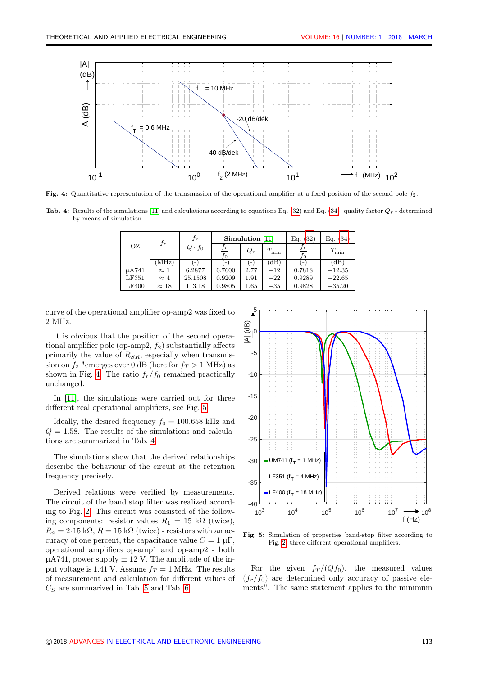<span id="page-4-0"></span>

Fig. 4: Quantitative representation of the transmission of the operational amplifier at a fixed position of the second pole  $f_2$ .

<span id="page-4-2"></span>**Tab. 4:** Results of the simulations [\[11\]](#page-7-9) and calculations according to equations Eq. [\(32\)](#page-3-2) and Eq. [\(34\)](#page-3-3); quality factor  $Q_r$  - determined by means of simulation.

|       |              | $f_r$<br>$f_r$ |        |          | Simulation [11] |               | Eq. (32)      | Eq. $(34)$ |
|-------|--------------|----------------|--------|----------|-----------------|---------------|---------------|------------|
| ΟZ    |              | $Q \cdot f_0$  | JО     | $Q_r$    | $T_{\rm min}$   | $_{fr}$<br>JО | $T_{\rm min}$ |            |
|       | MHz)         |                |        |          | Έ               |               | (dB           |            |
| uA741 | $\approx$ 1  | 6.2877         | 0.7600 | 2.77     | $-12$           | 0.7818        | $-12.35$      |            |
| LF351 | $\approx 4$  | 25.1508        | 0.9209 | 1.91     | $-22$           | 0.9289        | $-22.65$      |            |
| LF400 | $\approx$ 18 | 113.18         | 0.9805 | $1.65\,$ | $-35$           | 0.9828        | $-35.20$      |            |

curve of the operational amplifier op-amp2 was fixed to 2 MHz.

It is obvious that the position of the second operational amplifier pole (op-amp2,  $f_2$ ) substantially affects primarily the value of  $R_{SR}$ , especially when transmission on  $f_2$  "emerges over 0 dB (here for  $f_T > 1$  MHz) as shown in Fig. [4.](#page-4-0) The ratio  $f_r/f_0$  remained practically unchanged.

In [\[11\]](#page-7-9), the simulations were carried out for three different real operational amplifiers, see Fig. [5.](#page-4-1)

Ideally, the desired frequency  $f_0 = 100.658 \text{ kHz}$  and  $Q = 1.58$ . The results of the simulations and calculations are summarized in Tab. [4.](#page-4-2)

The simulations show that the derived relationships describe the behaviour of the circuit at the retention frequency precisely.

Derived relations were verified by measurements. The circuit of the band stop filter was realized according to Fig. [2.](#page-0-1) This circuit was consisted of the following components: resistor values  $R_1 = 15$  k $\Omega$  (twice),  $R_a = 2.15 \text{ k}\Omega$ ,  $R = 15 \text{ k}\Omega$  (twice) - resistors with an accuracy of one percent, the capacitance value  $C = 1 \mu F$ , operational amplifiers op-amp1 and op-amp2 - both  $\mu$ A741, power supply  $\pm$  12 V. The amplitude of the input voltage is 1.41 V. Assume  $f_T = 1$  MHz. The results of measurement and calculation for different values of  $C<sub>S</sub>$  are summarized in Tab. [5](#page-5-0) and Tab. [6.](#page-5-1)

<span id="page-4-1"></span>

Fig. 5: Simulation of properties band-stop filter according to Fig. [2,](#page-0-1) three different operational amplifiers.

For the given  $f_T/(Qf_0)$ , the measured values  $(f_r/f_0)$  are determined only accuracy of passive elements". The same statement applies to the minimum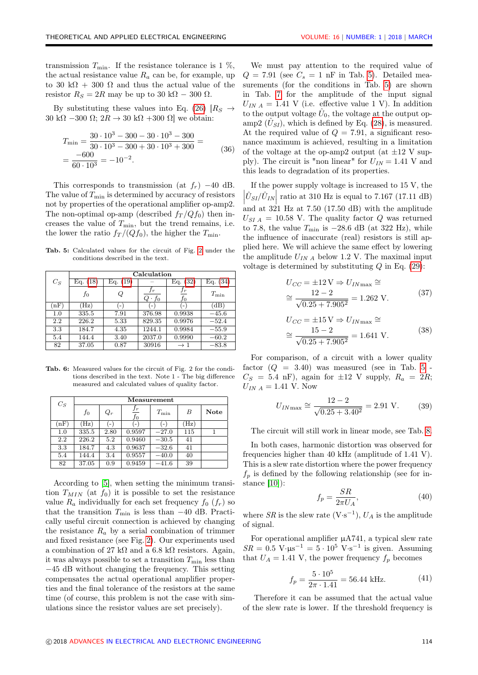transmission  $T_{\min}$ . If the resistance tolerance is 1 %, the actual resistance value  $R_a$  can be, for example, up to 30 k $\Omega$  + 300  $\Omega$  and thus the actual value of the resistor  $R_S = 2R$  may be up to 30 k $\Omega - 300 \Omega$ .

By substituting these values into Eq. [\(26\)](#page-2-5)  $\vert R_S \vert \rightarrow$ 30 k $\Omega$  –300  $\Omega$ ;  $2R \rightarrow 30$  k $\Omega$  +300  $\Omega$ ] we obtain:

$$
T_{\min} = \frac{30 \cdot 10^3 - 300 - 30 \cdot 10^3 - 300}{30 \cdot 10^3 - 300 + 30 \cdot 10^3 + 300} =
$$
  
= 
$$
\frac{-600}{60 \cdot 10^3} = -10^{-2}.
$$
 (36)

This corresponds to transmission (at  $f_r$ ) −40 dB. The value of  $T_{\text{min}}$  is determined by accuracy of resistors not by properties of the operational amplifier op-amp2. The non-optimal op-amp (described  $f_T / Qf_0$ ) then increases the value of  $T_{\text{min}}$ , but the trend remains, i.e. the lower the ratio  $f_T/(Qf_0)$ , the higher the  $T_{\min}$ .

<span id="page-5-0"></span>Tab. 5: Calculated values for the circuit of Fig. [2](#page-0-1) under the conditions described in the text.

|       | Calculation          |      |                          |                          |             |  |  |
|-------|----------------------|------|--------------------------|--------------------------|-------------|--|--|
| $C_S$ | Eq. (19)<br>Eq. (18) |      |                          | (32)<br>Eq.              | Eq.<br>(34) |  |  |
|       | fo                   | Q    | $_{Jr}$<br>$Q \cdot f_0$ | Jr<br>$f_{0}$            | $T_{\min}$  |  |  |
| (nF)  | $'$ Hz)              | - 1  | $\overline{\phantom{a}}$ | $\overline{\phantom{a}}$ | (dB)        |  |  |
| 1.0   | 335.5                | 7.91 | 376.98                   | 0.9938                   | $-45.6$     |  |  |
| 2.2   | 226.2                | 5.33 | 829.35                   | 0.9976                   | $-52.4$     |  |  |
| 3.3   | 184.7                | 4.35 | 1244.1                   | 0.9984                   | $-55.9$     |  |  |
| 5.4   | 144.4                | 3.40 | 2037.0                   | 0.9990                   | $-60.2$     |  |  |
| 82    | 37.05                | 0.87 | 30916                    | $\rightarrow 1$          | $-83.8$     |  |  |

<span id="page-5-1"></span>Tab. 6: Measured values for the circuit of Fig. 2 for the conditions described in the text. Note 1 - The big difference measured and calculated values of quality factor.

| $C_S$ | Measurement |       |                   |            |                 |             |
|-------|-------------|-------|-------------------|------------|-----------------|-------------|
|       | fо          | $Q_r$ | $\frac{f_r}{f_0}$ | $T_{\min}$ | В               | <b>Note</b> |
| nF)   | (Hz)        |       | $-$               |            | $(\mathrm{Hz})$ |             |
| 1.0   | 335.5       | 2.80  | 0.9597            | $-27.0$    | 115             |             |
| 2.2   | 226.2       | 5.2   | 0.9460            | $-30.5$    | 41              |             |
| 3.3   | 184.7       | 4.3   | 0.9637            | $-32.6$    | 41              |             |
| 5.4   | 144.4       | 3.4   | 0.9557            | $-40.0$    | 40              |             |
| 82    | 37.05       | 0.9   | 0.9459            | $-41.6$    | 39              |             |

According to [\[5\]](#page-7-3), when setting the minimum transition  $T_{MIN}$  (at  $f_0$ ) it is possible to set the resistance value  $R_a$  individually for each set frequency  $f_0(f_r)$  so that the transition  $T_{\text{min}}$  is less than  $-40$  dB. Practically useful circuit connection is achieved by changing the resistance  $R_a$  by a serial combination of trimmer and fixed resistance (see Fig. [2\)](#page-0-1). Our experiments used a combination of 27 kΩ and a 6.8 kΩ resistors. Again, it was always possible to set a transition  $T_{\min}$  less than −45 dB without changing the frequency. This setting compensates the actual operational amplifier properties and the final tolerance of the resistors at the same time (of course, this problem is not the case with simulations since the resistor values are set precisely).

We must pay attention to the required value of  $Q = 7.91$  (see  $C_s = 1$  nF in Tab. [5\)](#page-5-0). Detailed measurements (for the conditions in Tab. [5\)](#page-5-0) are shown in Tab. [7](#page-6-0) for the amplitude of the input signal  $U_{INA} = 1.41$  V (i.e. effective value 1 V). In addition to the output voltage  $\hat{U}_0$ , the voltage at the output opamp2  $(\hat{U}_{SI})$ , which is defined by Eq. [\(28\)](#page-2-6), is measured. At the required value of  $Q = 7.91$ , a significant resonance maximum is achieved, resulting in a limitation of the voltage at the op-amp2 output (at  $\pm 12$  V supply). The circuit is "non linear" for  $U_{IN} = 1.41$  V and this leads to degradation of its properties.

If the power supply voltage is increased to 15 V, the  $|\hat{U}_{SI}/\hat{U}_{IN}|$  ratio at 310 Hz is equal to 7.167 (17.11 dB) and at 321 Hz at 7.50 (17.50 dB) with the amplitude  $U_{SI A} = 10.58$  V. The quality factor Q was returned to 7.8, the value  $T_{\text{min}}$  is  $-28.6$  dB (at 322 Hz), while the influence of inaccurate (real) resistors is still applied here. We will achieve the same effect by lowering the amplitude  $U_{INA}$  below 1.2 V. The maximal input voltage is determined by substituting  $Q$  in Eq. [\(29\)](#page-2-7):

$$
U_{CC} = \pm 12 \text{ V} \Rightarrow U_{IN\text{max}} \cong
$$
  

$$
\cong \frac{12 - 2}{\sqrt{0.25 + 7.905^2}} = 1.262 \text{ V}.
$$
 (37)

$$
U_{CC} = \pm 15 \text{ V} \Rightarrow U_{IN\text{max}} \cong
$$
  

$$
\cong \frac{15 - 2}{\sqrt{0.25 + 7.905^2}} = 1.641 \text{ V}.
$$
 (38)

For comparison, of a circuit with a lower quality factor  $(Q = 3.40)$  was measured (see in Tab. [5](#page-5-0) - $C_S = 5.4 \text{ nF}$ , again for  $\pm 12 \text{ V}$  supply,  $R_a = 2R$ ;  $U_{INA} = 1.41$  V. Now

$$
U_{IN\max} \cong \frac{12 - 2}{\sqrt{0.25 + 3.40^2}} = 2.91 \text{ V.}
$$
 (39)

The circuit will still work in linear mode, see Tab. [8.](#page-6-1)

In both cases, harmonic distortion was observed for frequencies higher than 40 kHz (amplitude of 1.41 V). This is a slew rate distortion where the power frequency  $f_p$  is defined by the following relationship (see for instance [\[10\]](#page-7-8)):

$$
f_p = \frac{SR}{2\pi U_A},\tag{40}
$$

where  $SR$  is the slew rate  $(V·s^{-1})$ ,  $U_A$  is the amplitude of signal.

For operational amplifier  $\mu$ A741, a typical slew rate  $SR = 0.5 \text{ V·}\mu\text{s}^{-1} = 5 \cdot 10^5 \text{ V·}\text{s}^{-1}$  is given. Assuming that  $U_A = 1.41$  V, the power frequency  $f_p$  becomes

$$
f_p = \frac{5 \cdot 10^5}{2\pi \cdot 1.41} = 56.44 \text{ kHz.}
$$
 (41)

Therefore it can be assumed that the actual value of the slew rate is lower. If the threshold frequency is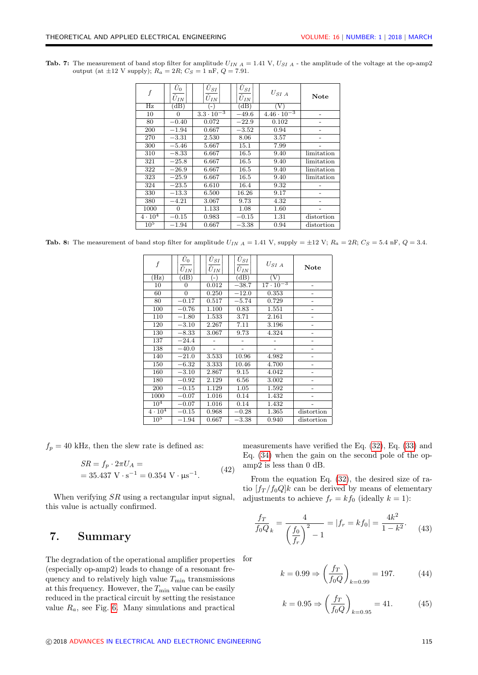<span id="page-6-0"></span>Tab. 7: The measurement of band stop filter for amplitude  $U_{IN}$   $_A = 1.41$  V,  $U_{SI}$   $_A$  - the amplitude of the voltage at the op-amp2 output (at  $\pm 12$  V supply);  $R_a = 2R$ ;  $C_S = 1$  nF,  $Q = 7.91$ .

| f               | $\hat{U}_0$<br>$\hat{U}_{IN}$ | $\hat{U}_{SI}$<br>$\hat{U}_{IN}$ | $\hat{U}_{SI}$<br>$\overline{\hat{U}}_{IN}$ | $U_{SI\ A}$                | Note       |
|-----------------|-------------------------------|----------------------------------|---------------------------------------------|----------------------------|------------|
| $\overline{Hz}$ | (dB)                          | $\left( -\right)$                | $\overline{d}$ B)                           | $\left( \mathrm{V}\right)$ |            |
| 10              | 0                             | $3.3 \cdot \overline{10^{-3}}$   | $-49.6$                                     | $4.46 \cdot 10^{-3}$       |            |
| 80              | $-0.40$                       | 0.072                            | $-22.9$                                     | 0.102                      |            |
| 200             | $-1.94$                       | 0.667                            | $-3.52$                                     | 0.94                       |            |
| 270             | $-3.31$                       | 2.530                            | 8.06                                        | 3.57                       |            |
| 300             | $-5.46$                       | 5.667                            | 15.1                                        | 7.99                       |            |
| 310             | $-8.33$                       | 6.667                            | 16.5                                        | 9.40                       | limitation |
| 321             | $-25.8$                       | 6.667                            | 16.5                                        | 9.40                       | limitation |
| 322             | $-26.9$                       | 6.667                            | 16.5                                        | 9.40                       | limitation |
| 323             | $-25.9$                       | 6.667                            | 16.5                                        | 9.40                       | limitation |
| 324             | $-23.5$                       | 6.610                            | 16.4                                        | 9.32                       |            |
| 330             | $-13.3$                       | 6.500                            | 16.26                                       | 9.17                       |            |
| 380             | $-4.21$                       | 3.067                            | 9.73                                        | 4.32                       |            |
| 1000            | 0                             | 1.133                            | 1.08                                        | 1.60                       |            |
| $4 \cdot 10^4$  | $-0.15$                       | 0.983                            | $-0.15$                                     | 1.31                       | distortion |
| 10 <sup>5</sup> | $-1.94$                       | 0.667                            | $-3.38$                                     | 0.94                       | distortion |

<span id="page-6-1"></span>**Tab. 8:** The measurement of band stop filter for amplitude  $U_{IN}$   $_A = 1.41$  V, supply  $= \pm 12$  V;  $R_a = 2R$ ;  $C_S = 5.4$  nF,  $Q = 3.4$ .

| $\boldsymbol{f}$ | $\bar{\hat{U}}_0$<br>$\overline{\hat{U}}_{IN}$ | $\bar{\hat{U}}_{SI}$<br>$\bar{\hat{U}}_{I \underline{N}}$ | $\hat{U}_{SI}$<br>$\overline{\hat{U}}_{I\underline{N}}$ | $U_{SI\ A}$        | Note                     |
|------------------|------------------------------------------------|-----------------------------------------------------------|---------------------------------------------------------|--------------------|--------------------------|
| $(\mathrm{Hz})$  | (dB)                                           | $(-)$                                                     | (dB)                                                    | (V)                |                          |
| 10               | $\overline{0}$                                 | 0.012                                                     | $-38.7$                                                 | $17 \cdot 10^{-3}$ |                          |
| 60               | $\boldsymbol{0}$                               | 0.250                                                     | $-12.0$                                                 | 0.353              |                          |
| 80               | $-0.17$                                        | 0.517                                                     | $-5.74$                                                 | 0.729              |                          |
| 100              | $-0.76$                                        | 1.100                                                     | 0.83                                                    | 1.551              | -                        |
| 110              | $-1.80$                                        | 1.533                                                     | 3.71                                                    | 2.161              |                          |
| 120              | $-3.10$                                        | 2.267                                                     | 7.11                                                    | 3.196              |                          |
| 130              | $-8.33$                                        | 3.067                                                     | 9.73                                                    | 4.324              |                          |
| 137              | $-24.4$                                        |                                                           |                                                         |                    |                          |
| 138              | $-40.0$                                        |                                                           |                                                         |                    |                          |
| 140              | $-21.0$                                        | 3.533                                                     | 10.96                                                   | 4.982              |                          |
| 150              | $-6.32$                                        | 3.333                                                     | 10.46                                                   | 4.700              |                          |
| 160              | $-3.10$                                        | 2.867                                                     | 9.15                                                    | 4.042              | $\overline{\phantom{0}}$ |
| 180              | $-0.92$                                        | 2.129                                                     | 6.56                                                    | 3.002              |                          |
| 200              | $-0.15$                                        | 1.129                                                     | 1.05                                                    | 1.592              |                          |
| 1000             | $-0.07$                                        | 1.016                                                     | 0.14                                                    | 1.432              |                          |
| 10 <sup>4</sup>  | $-0.07$                                        | 1.016                                                     | 0.14                                                    | 1.432              |                          |
| $4 \cdot 10^4$   | $-0.15$                                        | 0.968                                                     | $-0.28$                                                 | 1.365              | distortion               |
| 10 <sup>5</sup>  | $-1.94$                                        | 0.667                                                     | $-3.38$                                                 | 0.940              | distortion               |

 $f_p = 40$  kHz, then the slew rate is defined as:

$$
SR = f_p \cdot 2\pi U_A =
$$
  
= 35.437 V · s<sup>-1</sup> = 0.354 V · \mu s<sup>-1</sup>. (42)

When verifying  $SR$  using a rectangular input signal, this value is actually confirmed.

### <span id="page-6-2"></span>7. Summary

The degradation of the operational amplifier properties (especially op-amp2) leads to change of a resonant frequency and to relatively high value  $T_{\min}$  transmissions at this frequency. However, the  $T_{\text{min}}$  value can be easily reduced in the practical circuit by setting the resistance value  $R_a$ , see Fig. [6.](#page-7-10) Many simulations and practical

measurements have verified the Eq. [\(32\)](#page-3-2), Eq. [\(33\)](#page-3-4) and Eq. [\(34\)](#page-3-3) when the gain on the second pole of the opamp2 is less than 0 dB.

From the equation Eq. [\(32\)](#page-3-2), the desired size of ratio  $[f_T/f_0Q]k$  can be derived by means of elementary adjustments to achieve  $f_r = kf_0$  (ideally  $k = 1$ ):

$$
\frac{f_T}{f_0 Q_k} = \frac{4}{\left(\frac{f_0}{f_r}\right)^2 - 1} = |f_r = kf_0| = \frac{4k^2}{1 - k^2}.
$$
 (43)

for

$$
k = 0.99 \Rightarrow \left(\frac{f_T}{f_0 Q}\right)_{k=0.99} = 197. \tag{44}
$$

$$
k = 0.95 \Rightarrow \left(\frac{f_T}{f_0 Q}\right)_{k=0.95} = 41. \tag{45}
$$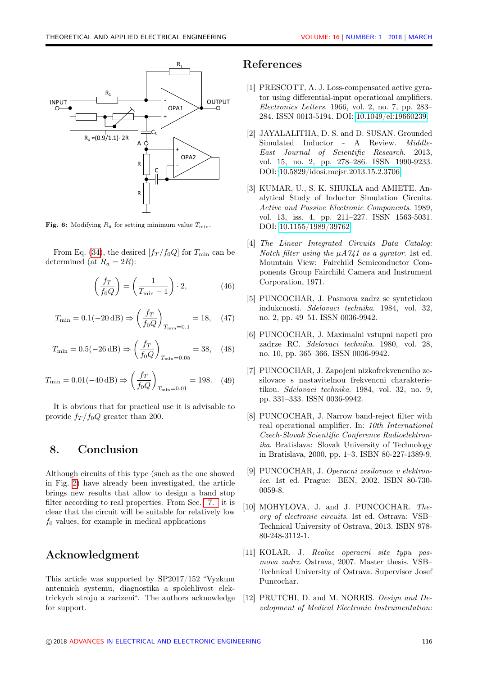<span id="page-7-10"></span>

**Fig. 6:** Modifying  $R_a$  for setting minimum value  $T_{\text{min}}$ .

From Eq. [\(34\)](#page-3-3), the desired  $[f_T/f_0Q]$  for  $T_{\text{min}}$  can be determined (at  $R_a = 2R$ ):

$$
\left(\frac{f_T}{f_0 Q}\right) = \left(\frac{1}{T_{\min} - 1}\right) \cdot 2,\tag{46}
$$

$$
T_{\min} = 0.1(-20 \,\text{dB}) \Rightarrow \left(\frac{f_T}{f_0 Q}\right)_{T_{\min} = 0.1} = 18, \quad (47)
$$

$$
T_{\min} = 0.5(-26 \,\text{dB}) \Rightarrow \left(\frac{f_T}{f_0 Q}\right)_{T_{\min} = 0.05} = 38, \quad (48)
$$

$$
T_{\min} = 0.01(-40 \,\text{dB}) \Rightarrow \left(\frac{f_T}{f_0 Q}\right)_{T_{\min} = 0.01} = 198. \quad (49)
$$

It is obvious that for practical use it is advisable to provide  $f_T / f_0 Q$  greater than 200.

### 8. Conclusion

Although circuits of this type (such as the one showed in Fig. [2\)](#page-0-1) have already been investigated, the article brings new results that allow to design a band stop filter according to real properties. From Sec. [7.](#page-6-2) it is clear that the circuit will be suitable for relatively low  $f_0$  values, for example in medical applications

#### Acknowledgment

This article was supported by SP2017/152 "Vyzkum antennich systemu, diagnostika a spolehlivost elektrickych stroju a zarizeni". The authors acknowledge for support.

### References

- [1] PRESCOTT, A. J. Loss-compensated active gyrator using differential-input operational amplifiers. Electronics Letters. 1966, vol. 2, no. 7, pp. 283– 284. ISSN 0013-5194. DOI: [10.1049/el:19660239.](http://dx.doi.org/10.1049/el:19660239)
- <span id="page-7-0"></span>[2] JAYALALITHA, D. S. and D. SUSAN. Grounded Simulated Inductor - A Review. Middle-East Journal of Scientific Research. 2013, vol. 15, no. 2, pp. 278–286. ISSN 1990-9233. DOI: [10.5829/idosi.mejsr.2013.15.2.3706.](http://dx.doi.org/10.5829/idosi.mejsr.2013.15.2.3706 )
- <span id="page-7-1"></span>[3] KUMAR, U., S. K. SHUKLA and AMIETE. Analytical Study of Inductor Simulation Circuits. Active and Passive Electronic Components. 1989, vol. 13, iss. 4, pp. 211–227. ISSN 1563-5031. DOI: [10.1155/1989/39762.](http://dx.doi.org/10.1155/1989/39762)
- <span id="page-7-2"></span>[4] The Linear Integrated Circuits Data Catalog: Notch filter using the  $\mu A741$  as a gyrator. 1st ed. Mountain View: Fairchild Semiconductor Components Group Fairchild Camera and Instrument Corporation, 1971.
- <span id="page-7-3"></span>[5] PUNCOCHAR, J. Pasmova zadrz se syntetickou indukcnosti. Sdelovaci technika. 1984, vol. 32, no. 2, pp. 49–51. ISSN 0036-9942.
- <span id="page-7-4"></span>[6] PUNCOCHAR, J. Maximalni vstupni napeti pro zadrze RC. Sdelovaci technika. 1980, vol. 28, no. 10, pp. 365–366. ISSN 0036-9942.
- <span id="page-7-5"></span>[7] PUNCOCHAR, J. Zapojeni nizkofrekvencniho zesilovace s nastavitelnou frekvencni charakteristikou. Sdelovaci technika. 1984, vol. 32, no. 9, pp. 331–333. ISSN 0036-9942.
- <span id="page-7-6"></span>[8] PUNCOCHAR, J. Narrow band-reject filter with real operational amplifier. In: 10th International Czech-Slovak Scientific Conference Radioelektronika. Bratislava: Slovak University of Technology in Bratislava, 2000, pp. 1–3. ISBN 80-227-1389-9.
- <span id="page-7-7"></span>[9] PUNCOCHAR, J. Operacni zesilovace v elektronice. 1st ed. Prague: BEN, 2002. ISBN 80-730- 0059-8.
- <span id="page-7-8"></span>[10] MOHYLOVA, J. and J. PUNCOCHAR. Theory of electronic circuits. 1st ed. Ostrava: VSB– Technical University of Ostrava, 2013. ISBN 978- 80-248-3112-1.
- <span id="page-7-9"></span>[11] KOLAR, J. Realne operacni site typu pasmova zadrz. Ostrava, 2007. Master thesis. VSB– Technical University of Ostrava. Supervisor Josef Puncochar.
- [12] PRUTCHI, D. and M. NORRIS. Design and Development of Medical Electronic Instrumentation: